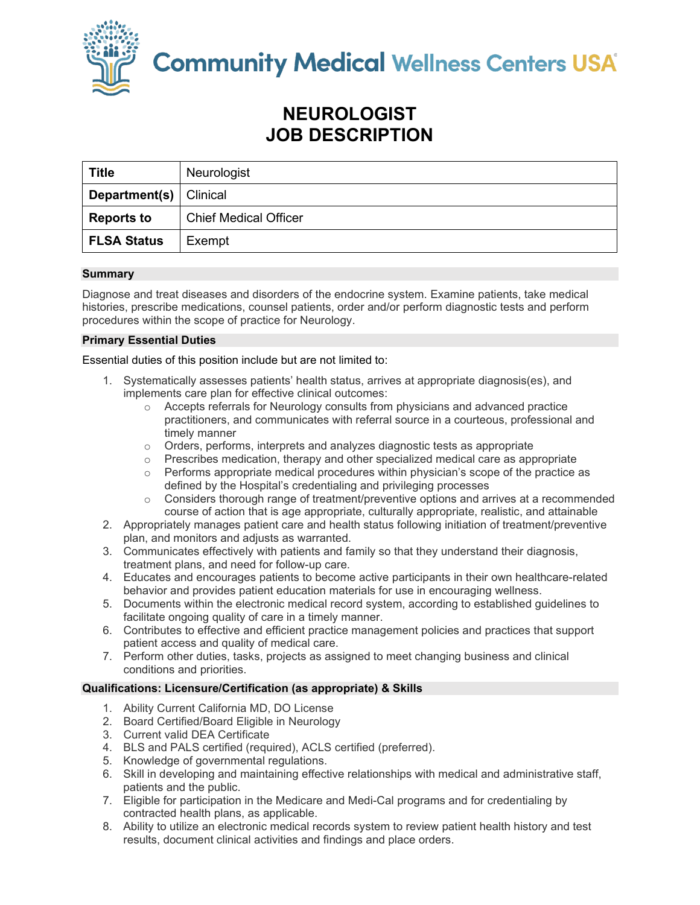

**Community Medical Wellness Centers USA** 

# **NEUROLOGIST JOB DESCRIPTION**

| <b>Title</b>                    | Neurologist                  |
|---------------------------------|------------------------------|
| <b>Department(s)</b>   Clinical |                              |
| <b>Reports to</b>               | <b>Chief Medical Officer</b> |
| <b>FLSA Status</b>              | Exempt                       |

## **Summary**

Diagnose and treat diseases and disorders of the endocrine system. Examine patients, take medical histories, prescribe medications, counsel patients, order and/or perform diagnostic tests and perform procedures within the scope of practice for Neurology.

## **Primary Essential Duties**

Essential duties of this position include but are not limited to:

- 1. Systematically assesses patients' health status, arrives at appropriate diagnosis(es), and implements care plan for effective clinical outcomes:
	- $\circ$  Accepts referrals for Neurology consults from physicians and advanced practice practitioners, and communicates with referral source in a courteous, professional and timely manner
	- o Orders, performs, interprets and analyzes diagnostic tests as appropriate
	- $\circ$  Prescribes medication, therapy and other specialized medical care as appropriate
	- $\circ$  Performs appropriate medical procedures within physician's scope of the practice as defined by the Hospital's credentialing and privileging processes
	- o Considers thorough range of treatment/preventive options and arrives at a recommended course of action that is age appropriate, culturally appropriate, realistic, and attainable
- 2. Appropriately manages patient care and health status following initiation of treatment/preventive plan, and monitors and adjusts as warranted.
- 3. Communicates effectively with patients and family so that they understand their diagnosis, treatment plans, and need for follow-up care.
- 4. Educates and encourages patients to become active participants in their own healthcare-related behavior and provides patient education materials for use in encouraging wellness.
- 5. Documents within the electronic medical record system, according to established guidelines to facilitate ongoing quality of care in a timely manner.
- 6. Contributes to effective and efficient practice management policies and practices that support patient access and quality of medical care.
- 7. Perform other duties, tasks, projects as assigned to meet changing business and clinical conditions and priorities.

### **Qualifications: Licensure/Certification (as appropriate) & Skills**

- 1. Ability Current California MD, DO License
- 2. Board Certified/Board Eligible in Neurology
- 3. Current valid DEA Certificate
- 4. BLS and PALS certified (required), ACLS certified (preferred).
- 5. Knowledge of governmental regulations.
- 6. Skill in developing and maintaining effective relationships with medical and administrative staff, patients and the public.
- 7. Eligible for participation in the Medicare and Medi-Cal programs and for credentialing by contracted health plans, as applicable.
- 8. Ability to utilize an electronic medical records system to review patient health history and test results, document clinical activities and findings and place orders.